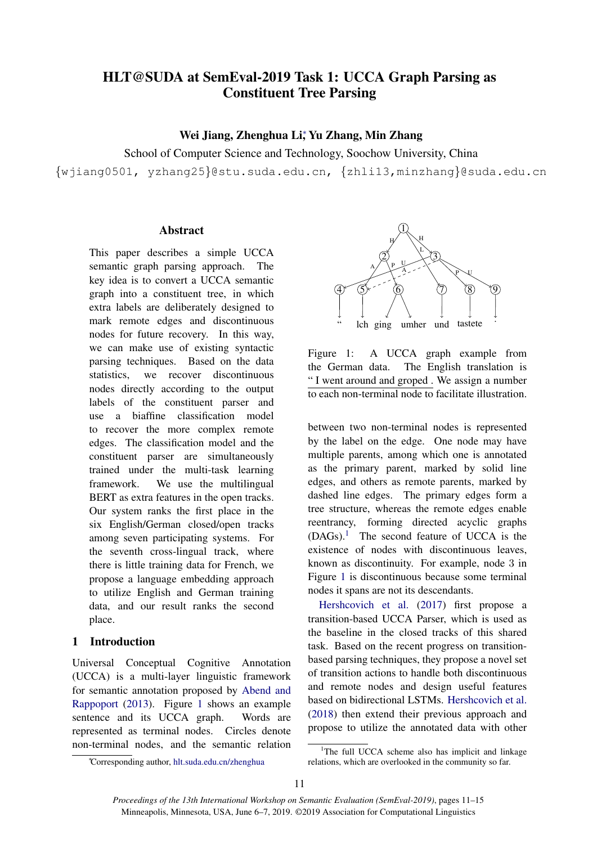# HLT@SUDA at SemEval-2019 Task 1: UCCA Graph Parsing as Constituent Tree Parsing

## Wei Jiang, Zhenghua Li; Yu Zhang, Min Zhang

School of Computer Science and Technology, Soochow University, China

{wjiang0501, yzhang25}@stu.suda.edu.cn, {zhli13,minzhang}@suda.edu.cn

#### **Abstract**

This paper describes a simple UCCA semantic graph parsing approach. The key idea is to convert a UCCA semantic graph into a constituent tree, in which extra labels are deliberately designed to mark remote edges and discontinuous nodes for future recovery. In this way, we can make use of existing syntactic parsing techniques. Based on the data statistics, we recover discontinuous nodes directly according to the output labels of the constituent parser and use a biaffine classification model to recover the more complex remote edges. The classification model and the constituent parser are simultaneously trained under the multi-task learning framework. We use the multilingual BERT as extra features in the open tracks. Our system ranks the first place in the six English/German closed/open tracks among seven participating systems. For the seventh cross-lingual track, where there is little training data for French, we propose a language embedding approach to utilize English and German training data, and our result ranks the second place.

## 1 Introduction

Universal Conceptual Cognitive Annotation (UCCA) is a multi-layer linguistic framework for semantic annotation proposed by [Abend and](#page-4-0) [Rappoport](#page-4-0) [\(2013\)](#page-4-0). Figure [1](#page-0-0) shows an example sentence and its UCCA graph. Words are represented as terminal nodes. Circles denote non-terminal nodes, and the semantic relation



<span id="page-0-0"></span>Figure 1: A UCCA graph example from the German data. The English translation is " I went around and groped . We assign a number to each non-terminal node to facilitate illustration.

between two non-terminal nodes is represented by the label on the edge. One node may have multiple parents, among which one is annotated as the primary parent, marked by solid line edges, and others as remote parents, marked by dashed line edges. The primary edges form a tree structure, whereas the remote edges enable reentrancy, forming directed acyclic graphs  $(DAGs).$ <sup>[1](#page-0-1)</sup> The second feature of UCCA is the existence of nodes with discontinuous leaves, known as discontinuity. For example, node 3 in Figure [1](#page-0-0) is discontinuous because some terminal nodes it spans are not its descendants.

[Hershcovich et al.](#page-4-1) [\(2017\)](#page-4-1) first propose a transition-based UCCA Parser, which is used as the baseline in the closed tracks of this shared task. Based on the recent progress on transitionbased parsing techniques, they propose a novel set of transition actions to handle both discontinuous and remote nodes and design useful features based on bidirectional LSTMs. [Hershcovich et al.](#page-4-2) [\(2018\)](#page-4-2) then extend their previous approach and propose to utilize the annotated data with other

<sup>∗</sup>Corresponding author, hlt.suda.edu.cn/zhenghua

<span id="page-0-1"></span><sup>&</sup>lt;sup>1</sup>The full UCCA scheme also has implicit and linkage relations, which are overlooked in the community so far.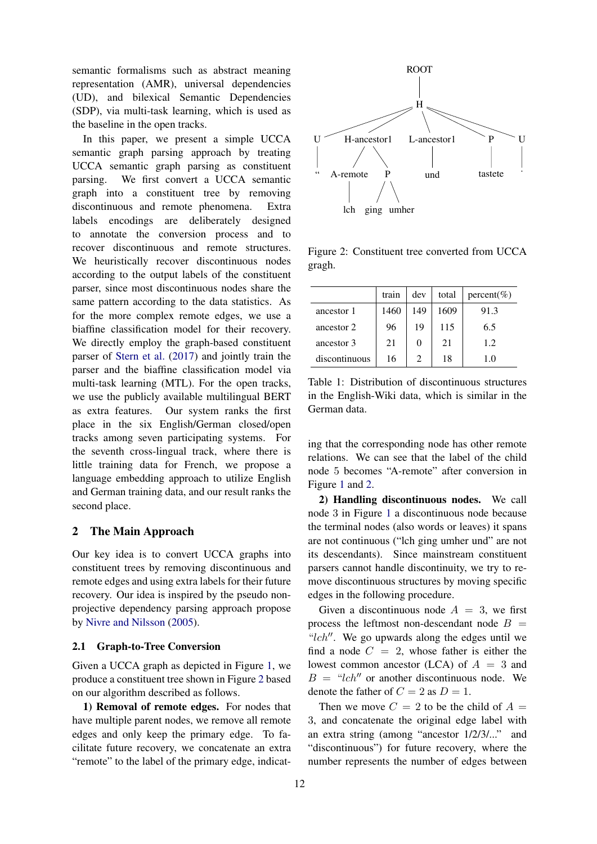semantic formalisms such as abstract meaning representation (AMR), universal dependencies (UD), and bilexical Semantic Dependencies (SDP), via multi-task learning, which is used as the baseline in the open tracks.

In this paper, we present a simple UCCA semantic graph parsing approach by treating UCCA semantic graph parsing as constituent parsing. We first convert a UCCA semantic graph into a constituent tree by removing discontinuous and remote phenomena. Extra labels encodings are deliberately designed to annotate the conversion process and to recover discontinuous and remote structures. We heuristically recover discontinuous nodes according to the output labels of the constituent parser, since most discontinuous nodes share the same pattern according to the data statistics. As for the more complex remote edges, we use a biaffine classification model for their recovery. We directly employ the graph-based constituent parser of [Stern et al.](#page-4-3) [\(2017\)](#page-4-3) and jointly train the parser and the biaffine classification model via multi-task learning (MTL). For the open tracks, we use the publicly available multilingual BERT as extra features. Our system ranks the first place in the six English/German closed/open tracks among seven participating systems. For the seventh cross-lingual track, where there is little training data for French, we propose a language embedding approach to utilize English and German training data, and our result ranks the second place.

## 2 The Main Approach

Our key idea is to convert UCCA graphs into constituent trees by removing discontinuous and remote edges and using extra labels for their future recovery. Our idea is inspired by the pseudo nonprojective dependency parsing approach propose by [Nivre and Nilsson](#page-4-4) [\(2005\)](#page-4-4).

#### 2.1 Graph-to-Tree Conversion

Given a UCCA graph as depicted in Figure [1,](#page-0-0) we produce a constituent tree shown in Figure [2](#page-1-0) based on our algorithm described as follows.

1) Removal of remote edges. For nodes that have multiple parent nodes, we remove all remote edges and only keep the primary edge. To facilitate future recovery, we concatenate an extra "remote" to the label of the primary edge, indicat-



<span id="page-1-0"></span>Figure 2: Constituent tree converted from UCCA gragh.

<span id="page-1-1"></span>

|               | train | dev      | total | $percent(\%)$ |
|---------------|-------|----------|-------|---------------|
| ancestor 1    | 1460  | 149      | 1609  | 91.3          |
| ancestor 2    | 96    | 19       | 115   | 6.5           |
| ancestor 3    | 21    | $\Omega$ | 21    | 1.2.          |
| discontinuous | 16    |          | 18    | 1.0           |

Table 1: Distribution of discontinuous structures in the English-Wiki data, which is similar in the German data.

ing that the corresponding node has other remote relations. We can see that the label of the child node 5 becomes "A-remote" after conversion in Figure [1](#page-0-0) and [2.](#page-1-0)

2) Handling discontinuous nodes. We call node 3 in Figure [1](#page-0-0) a discontinuous node because the terminal nodes (also words or leaves) it spans are not continuous ("lch ging umher und" are not its descendants). Since mainstream constituent parsers cannot handle discontinuity, we try to remove discontinuous structures by moving specific edges in the following procedure.

Given a discontinuous node  $A = 3$ , we first process the leftmost non-descendant node  $B =$ " $lch$ ". We go upwards along the edges until we find a node  $C = 2$ , whose father is either the lowest common ancestor (LCA) of  $A = 3$  and  $B = "lch"$  or another discontinuous node. We denote the father of  $C = 2$  as  $D = 1$ .

Then we move  $C = 2$  to be the child of  $A =$ 3, and concatenate the original edge label with an extra string (among "ancestor 1/2/3/..." and "discontinuous") for future recovery, where the number represents the number of edges between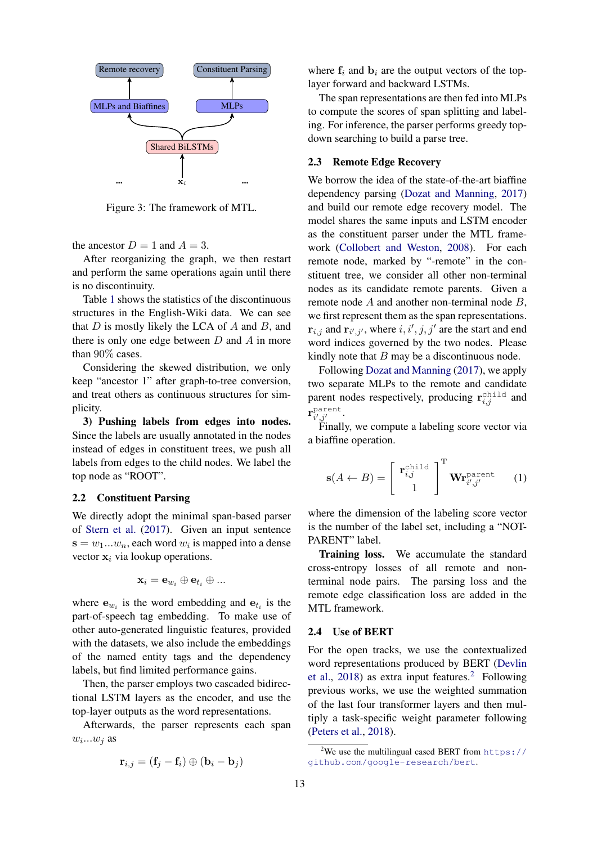

Figure 3: The framework of MTL.

the ancestor  $D = 1$  and  $A = 3$ .

After reorganizing the graph, we then restart and perform the same operations again until there is no discontinuity.

Table [1](#page-1-1) shows the statistics of the discontinuous structures in the English-Wiki data. We can see that  $D$  is mostly likely the LCA of  $A$  and  $B$ , and there is only one edge between  $D$  and  $A$  in more than 90% cases.

Considering the skewed distribution, we only keep "ancestor 1" after graph-to-tree conversion, and treat others as continuous structures for simplicity.

3) Pushing labels from edges into nodes. Since the labels are usually annotated in the nodes instead of edges in constituent trees, we push all labels from edges to the child nodes. We label the top node as "ROOT".

#### 2.2 Constituent Parsing

We directly adopt the minimal span-based parser of [Stern et al.](#page-4-3) [\(2017\)](#page-4-3). Given an input sentence  $\mathbf{s} = w_1...w_n$ , each word  $w_i$  is mapped into a dense vector  $x_i$  via lookup operations.

$$
\mathbf{x}_i = \mathbf{e}_{w_i} \oplus \mathbf{e}_{t_i} \oplus ...
$$

where  $e_{w_i}$  is the word embedding and  $e_{t_i}$  is the part-of-speech tag embedding. To make use of other auto-generated linguistic features, provided with the datasets, we also include the embeddings of the named entity tags and the dependency labels, but find limited performance gains.

Then, the parser employs two cascaded bidirectional LSTM layers as the encoder, and use the top-layer outputs as the word representations.

Afterwards, the parser represents each span  $w_i...w_j$  as

$$
\mathbf{r}_{i,j} = (\mathbf{f}_j - \mathbf{f}_i) \oplus (\mathbf{b}_i - \mathbf{b}_j)
$$

where  $f_i$  and  $b_i$  are the output vectors of the toplayer forward and backward LSTMs.

The span representations are then fed into MLPs to compute the scores of span splitting and labeling. For inference, the parser performs greedy topdown searching to build a parse tree.

#### 2.3 Remote Edge Recovery

We borrow the idea of the state-of-the-art biaffine dependency parsing [\(Dozat and Manning,](#page-4-5) [2017\)](#page-4-5) and build our remote edge recovery model. The model shares the same inputs and LSTM encoder as the constituent parser under the MTL framework [\(Collobert and Weston,](#page-4-6) [2008\)](#page-4-6). For each remote node, marked by "-remote" in the constituent tree, we consider all other non-terminal nodes as its candidate remote parents. Given a remote node A and another non-terminal node B, we first represent them as the span representations.  ${\bf r}_{i,j}$  and  ${\bf r}_{i',j'}$ , where  $i, i', j, j'$  are the start and end word indices governed by the two nodes. Please kindly note that  $B$  may be a discontinuous node.

Following [Dozat and Manning](#page-4-5) [\(2017\)](#page-4-5), we apply two separate MLPs to the remote and candidate parent nodes respectively, producing  $\mathbf{r}_{i,j}^{\text{child}}$  and  $\mathbf{r}_{i'j'}^{\text{parent}}$ parent. $i',j'$ 

Finally, we compute a labeling score vector via a biaffine operation.

$$
\mathbf{s}(A \leftarrow B) = \begin{bmatrix} \mathbf{r}_{i,j}^{\text{child}} \\ 1 \end{bmatrix}^{\text{T}} \mathbf{Wr}_{i',j'}^{\text{parent}} \qquad (1)
$$

where the dimension of the labeling score vector is the number of the label set, including a "NOT-PARENT" label.

Training loss. We accumulate the standard cross-entropy losses of all remote and nonterminal node pairs. The parsing loss and the remote edge classification loss are added in the MTL framework.

#### 2.4 Use of BERT

For the open tracks, we use the contextualized word representations produced by BERT [\(Devlin](#page-4-7) [et al.,](#page-4-7) [2018\)](#page-4-7) as extra input features.<sup>[2](#page-2-0)</sup> Following previous works, we use the weighted summation of the last four transformer layers and then multiply a task-specific weight parameter following [\(Peters et al.,](#page-4-8) [2018\)](#page-4-8).

<span id="page-2-0"></span><sup>&</sup>lt;sup>2</sup>We use the multilingual cased BERT from [https://](https://github.com/google-research/bert) [github.com/google-research/bert](https://github.com/google-research/bert).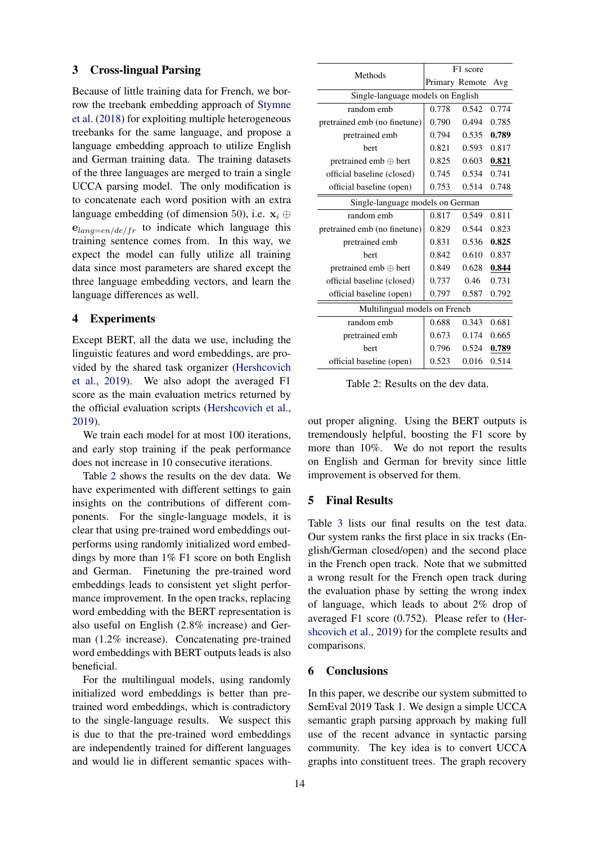#### 3 Cross-lingual Parsing

Because of little training data for French, we borrow the treebank embedding approach of [Stymne](#page-4-9) [et al.](#page-4-9) [\(2018\)](#page-4-9) for exploiting multiple heterogeneous treebanks for the same language, and propose a language embedding approach to utilize English and German training data. The training datasets of the three languages are merged to train a single UCCA parsing model. The only modification is to concatenate each word position with an extra language embedding (of dimension 50), i.e.  $x_i \oplus$  $e_{lang=en/de/fr}$  to indicate which language this training sentence comes from. In this way, we expect the model can fully utilize all training data since most parameters are shared except the three language embedding vectors, and learn the language differences as well.

#### 4 Experiments

Except BERT, all the data we use, including the linguistic features and word embeddings, are provided by the shared task organizer [\(Hershcovich](#page-4-10) [et al.,](#page-4-10) [2019\)](#page-4-10). We also adopt the averaged F1 score as the main evaluation metrics returned by the official evaluation scripts [\(Hershcovich et al.,](#page-4-10) [2019\)](#page-4-10).

We train each model for at most 100 iterations. and early stop training if the peak performance does not increase in 10 consecutive iterations.

Table [2](#page-3-0) shows the results on the dev data. We have experimented with different settings to gain insights on the contributions of different components. For the single-language models, it is clear that using pre-trained word embeddings outperforms using randomly initialized word embeddings by more than 1% F1 score on both English and German. Finetuning the pre-trained word embeddings leads to consistent yet slight performance improvement. In the open tracks, replacing word embedding with the BERT representation is also useful on English (2.8% increase) and German (1.2% increase). Concatenating pre-trained word embeddings with BERT outputs leads is also beneficial.

For the multilingual models, using randomly initialized word embeddings is better than pretrained word embeddings, which is contradictory to the single-language results. We suspect this is due to that the pre-trained word embeddings are independently trained for different languages and would lie in different semantic spaces with-

| Methods                           | F1 score       |       |       |  |  |  |
|-----------------------------------|----------------|-------|-------|--|--|--|
|                                   | Primary Remote |       | Avg   |  |  |  |
| Single-language models on English |                |       |       |  |  |  |
| random emb                        | 0.778          | 0.542 | 0.774 |  |  |  |
| pretrained emb (no finetune)      | 0.790          | 0.494 | 0.785 |  |  |  |
| pretrained emb                    | 0.794          | 0.535 | 0.789 |  |  |  |
| bert                              | 0.821          | 0.593 | 0.817 |  |  |  |
| pretrained emb $\oplus$ bert      | 0.825          | 0.603 | 0.821 |  |  |  |
| official baseline (closed)        | 0.745          | 0.534 | 0.741 |  |  |  |
| official baseline (open)          | 0.753          | 0.514 | 0.748 |  |  |  |
| Single-language models on German  |                |       |       |  |  |  |
| random emb                        | 0.817          | 0.549 | 0.811 |  |  |  |
| pretrained emb (no finetune)      | 0.829          | 0.544 | 0.823 |  |  |  |
| pretrained emb                    | 0.831          | 0.536 | 0.825 |  |  |  |
| bert                              | 0.842          | 0.610 | 0.837 |  |  |  |
| pretrained emb $\oplus$ bert      | 0.849          | 0.628 | 0.844 |  |  |  |
| official baseline (closed)        | 0.737          | 0.46  | 0.731 |  |  |  |
| official baseline (open)          | 0.797          | 0.587 | 0.792 |  |  |  |
| Multilingual models on French     |                |       |       |  |  |  |
| random emb                        | 0.688          | 0.343 | 0.681 |  |  |  |
| pretrained emb                    | 0.673          | 0.174 | 0.665 |  |  |  |
| bert                              | 0.796          | 0.524 | 0.789 |  |  |  |
| official baseline (open)          | 0.523          | 0.016 | 0.514 |  |  |  |

<span id="page-3-0"></span>Table 2: Results on the dev data.

out proper aligning. Using the BERT outputs is tremendously helpful, boosting the F1 score by more than 10%. We do not report the results on English and German for brevity since little improvement is observed for them.

### 5 Final Results

Table [3](#page-4-11) lists our final results on the test data. Our system ranks the first place in six tracks (English/German closed/open) and the second place in the French open track. Note that we submitted a wrong result for the French open track during the evaluation phase by setting the wrong index of language, which leads to about 2% drop of averaged F1 score (0.752). Please refer to [\(Her](#page-4-10)[shcovich et al.,](#page-4-10) [2019\)](#page-4-10) for the complete results and comparisons.

#### 6 Conclusions

In this paper, we describe our system submitted to SemEval 2019 Task 1. We design a simple UCCA semantic graph parsing approach by making full use of the recent advance in syntactic parsing community. The key idea is to convert UCCA graphs into constituent trees. The graph recovery